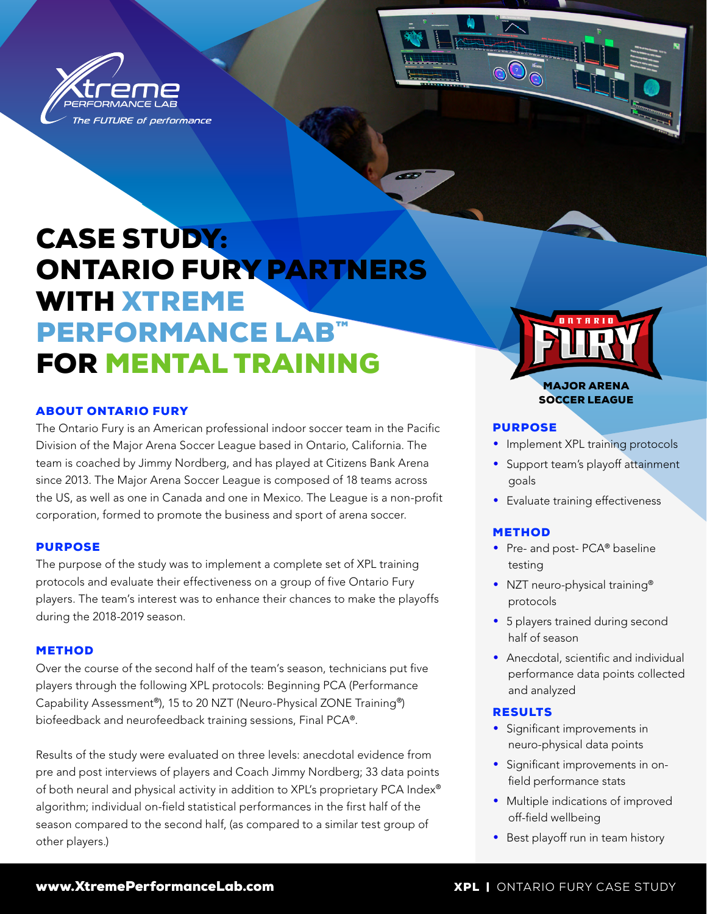



## ABOUT ONTARIO FURY

The Ontario Fury is an American professional indoor soccer team in the Pacific Division of the Major Arena Soccer League based in Ontario, California. The team is coached by Jimmy Nordberg, and has played at Citizens Bank Arena since 2013. The Major Arena Soccer League is composed of 18 teams across the US, as well as one in Canada and one in Mexico. The League is a non-profit corporation, formed to promote the business and sport of arena soccer.

## PURPOSE

The purpose of the study was to implement a complete set of XPL training protocols and evaluate their effectiveness on a group of five Ontario Fury players. The team's interest was to enhance their chances to make the playoffs during the 2018-2019 season.

## **METHOD**

Over the course of the second half of the team's season, technicians put five players through the following XPL protocols: Beginning PCA (Performance Capability Assessment**®**), 15 to 20 NZT (Neuro-Physical ZONE Training**®**) biofeedback and neurofeedback training sessions, Final PCA**®**.

Results of the study were evaluated on three levels: anecdotal evidence from pre and post interviews of players and Coach Jimmy Nordberg; 33 data points of both neural and physical activity in addition to XPL's proprietary PCA Index**®** algorithm; individual on-field statistical performances in the first half of the season compared to the second half, (as compared to a similar test group of other players.)



SOCCER LEAGUE

## PURPOSE

- **•** Implement XPL training protocols
- **•** Support team's playoff attainment goals
- **•** Evaluate training effectiveness

## **METHOD**

- **•** Pre- and post- PCA**®** baseline testing
- **•** NZT neuro-physical training**®** protocols
- **•** 5 players trained during second half of season
- **•** Anecdotal, scientific and individual performance data points collected and analyzed

## RESULTS

- **•** Significant improvements in neuro-physical data points
- **•** Significant improvements in onfield performance stats
- **•** Multiple indications of improved off-field wellbeing
- **•** Best playoff run in team history